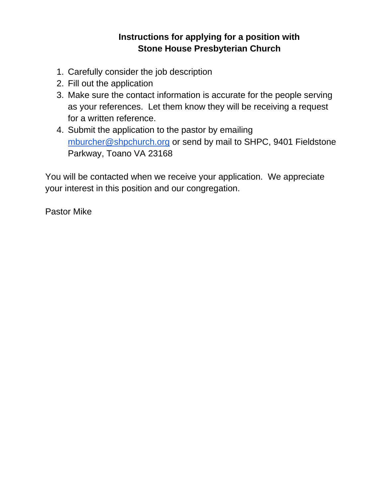## **Instructions for applying for a position with Stone House Presbyterian Church**

- 1. Carefully consider the job description
- 2. Fill out the application
- 3. Make sure the contact information is accurate for the people serving as your references. Let them know they will be receiving a request for a written reference.
- 4. Submit the application to the pastor by emailing [mburcher@shpchurch.org](mailto:mburcher@shpchurch.org) or send by mail to SHPC, 9401 Fieldstone Parkway, Toano VA 23168

You will be contacted when we receive your application. We appreciate your interest in this position and our congregation.

Pastor Mike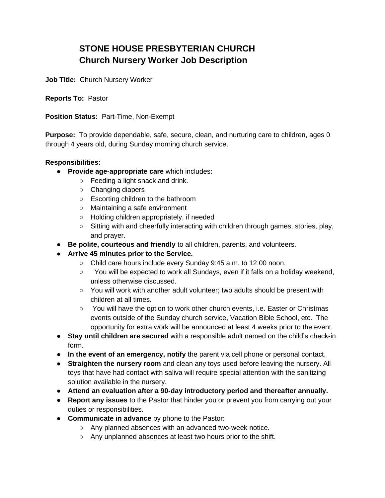## **STONE HOUSE PRESBYTERIAN CHURCH Church Nursery Worker Job Description**

**Job Title:** Church Nursery Worker

**Reports To:** Pastor

**Position Status:** Part-Time, Non-Exempt

**Purpose:** To provide dependable, safe, secure, clean, and nurturing care to children, ages 0 through 4 years old, during Sunday morning church service.

## **Responsibilities:**

- **Provide age-appropriate care** which includes:
	- Feeding a light snack and drink.
	- Changing diapers
	- Escorting children to the bathroom
	- Maintaining a safe environment
	- Holding children appropriately, if needed
	- $\circ$  Sitting with and cheerfully interacting with children through games, stories, play, and prayer.
- **Be polite, courteous and friendly** to all children, parents, and volunteers.
- **Arrive 45 minutes prior to the Service.**
	- Child care hours include every Sunday 9:45 a.m. to 12:00 noon.
	- You will be expected to work all Sundays, even if it falls on a holiday weekend, unless otherwise discussed.
	- You will work with another adult volunteer; two adults should be present with children at all times.
	- You will have the option to work other church events, i.e. Easter or Christmas events outside of the Sunday church service, Vacation Bible School, etc. The opportunity for extra work will be announced at least 4 weeks prior to the event.
- **Stay until children are secured** with a responsible adult named on the child's check-in form.
- **In the event of an emergency, notify** the parent via cell phone or personal contact.
- **Straighten the nursery room** and clean any toys used before leaving the nursery. All toys that have had contact with saliva will require special attention with the sanitizing solution available in the nursery.
- **Attend an evaluation after a 90-day introductory period and thereafter annually.**
- **Report any issues** to the Pastor that hinder you or prevent you from carrying out your duties or responsibilities.
- **Communicate in advance** by phone to the Pastor:
	- Any planned absences with an advanced two-week notice.
	- Any unplanned absences at least two hours prior to the shift.